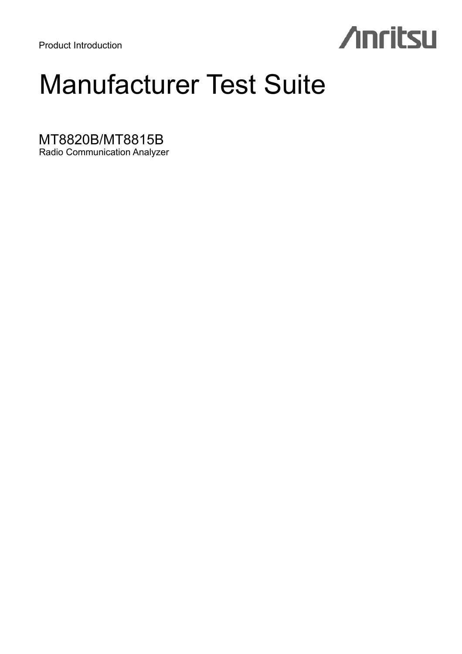Product Introduction



# Manufacturer Test Suite

MT8820B/MT8815B

Radio Communication Analyzer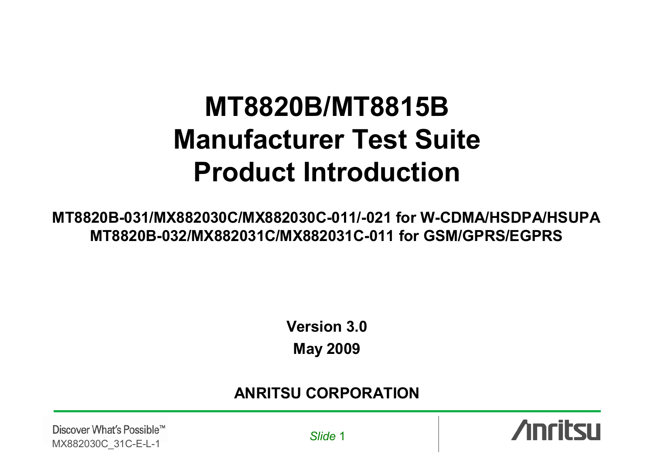# **MT8820B/MT8815BManufacturer Test SuiteProduct Introduction**

**MT8820B-031/MX882030C/MX882030C-011/-021 for W-CDMA/HSDPA/HSUPA MT8820B-032/MX882031C/MX882031C-011 for GSM/GPRS/EGPRS**

> **Version 3.0May 2009**

# **ANRITSU CORPORATION**

Discover What's Possible™ MX882030C\_31C-E-L-1

*Slide* 1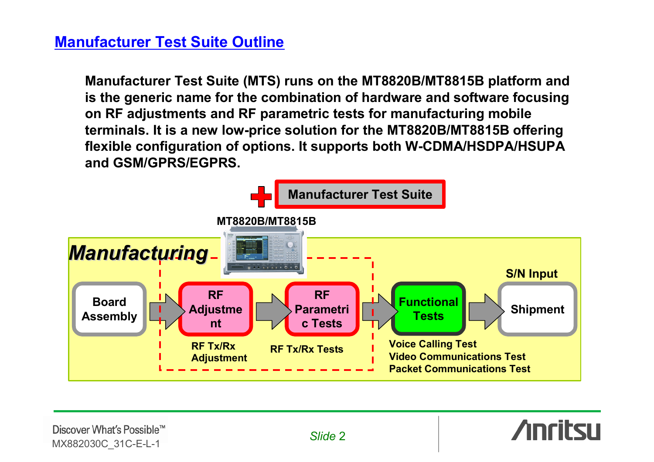#### **Manufacturer Test Suite Outline**

**Manufacturer Test Suite (MTS) runs on the MT8820B/MT8815B platform and is the generic name for the combination of hardware and software focusing on RF adjustments and RF parametric tests for manufacturing mobile terminals. It is a new low-price solution for the MT8820B/MT8815B offering flexible configuration of options. It supports both W-CDMA/HSDPA/HSUPA and GSM/GPRS/EGPRS.**



Discover What's Possible™ MX882030C\_31C-E-L-1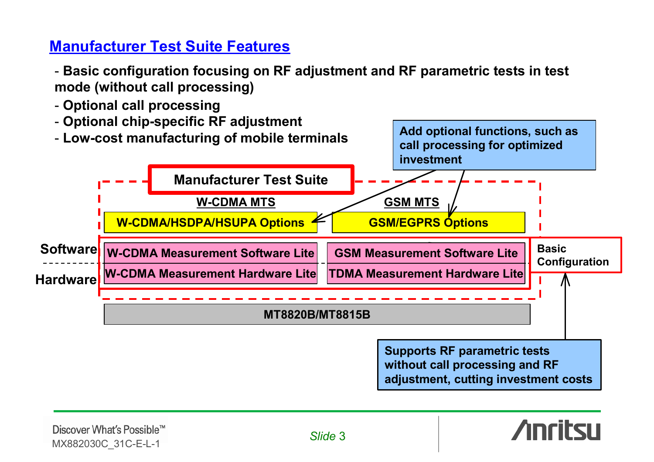# **Manufacturer Test Suite Features**

- **Basic configuration focusing on RF adjustment and RF parametric tests in test mode (without call processing)**

- **Optional call processing**
- **Optional chip-specific RF adjustment**



**Supports RF parametric tests without call processing and RF adjustment, cutting investment costs**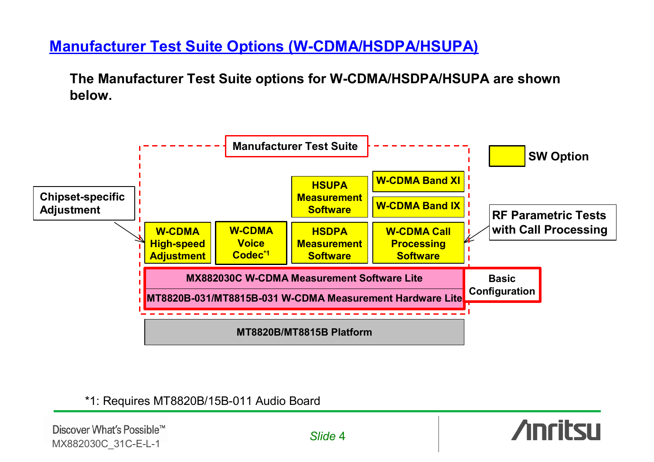### **Manufacturer Test Suite Options (W-CDMA/HSDPA/HSUPA)**

**The Manufacturer Test Suite options for W-CDMA/HSDPA/HSUPA are shown below.**



#### \*1: Requires MT8820B/15B-011 Audio Board

Discover What's Possible™ MX882030C\_31C-E-L-1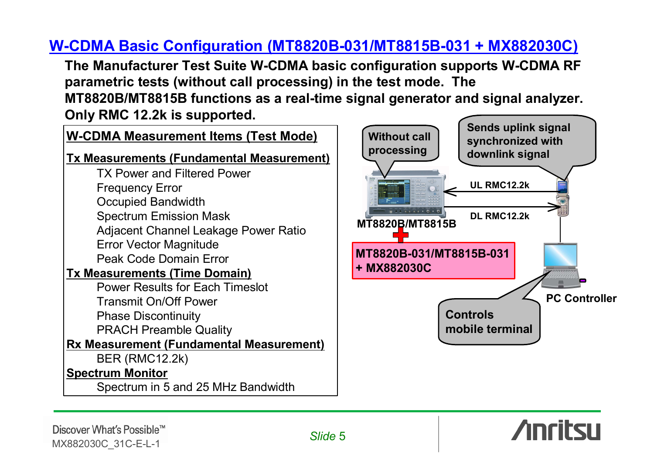# **W-CDMA Basic Configuration (MT8820B-031/MT8815B-031 + MX882030C)**

**The Manufacturer Test Suite W-CDMA basic configuration supports W-CDMA RF parametric tests (without call processing) in the test mode. The MT8820B/MT8815B functions as a real-time signal generator and signal analyzer. Only RMC 12.2k is supported.** 

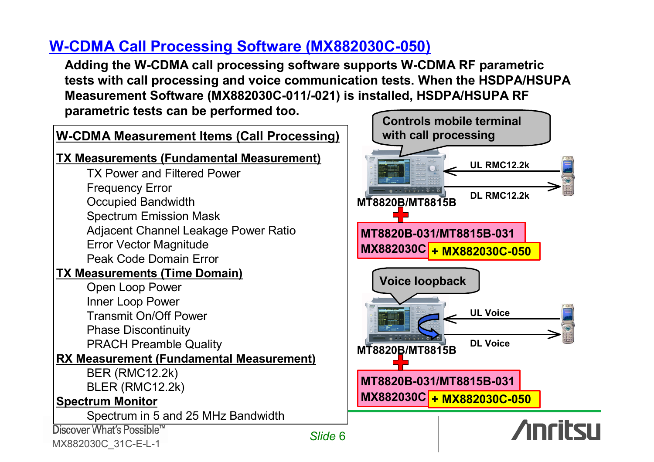# **W-CDMA Call Processing Software (MX882030C-050)**

**Adding the W-CDMA call processing software supports W-CDMA RF parametric tests with call processing and voice communication tests. When the HSDPA/HSUPA Measurement Software (MX882030C-011/-021) is installed, HSDPA/HSUPA RF parametric tests can be performed too.**

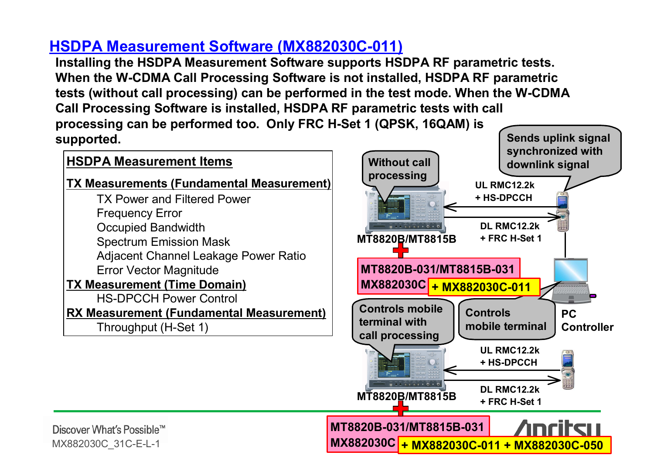# **HSDPA Measurement Software (MX882030C-011)**

**Installing the HSDPA Measurement Software supports HSDPA RF parametric tests. When the W-CDMA Call Processing Software is not installed, HSDPA RF parametric tests (without call processing) can be performed in the test mode. When the W-CDMA Call Processing Software is installed, HSDPA RF parametric tests with call processing can be performed too. Only FRC H-Set 1 (QPSK, 16QAM) is supported. Sends uplink signal** 

#### **synchronized with HSDPA Measurement ItemsWithout call downlink signal processing TX Measurements (Fundamental Measurement) UL RMC12.2k+ HS-DPCCH**TX Power and Filtered PowerFrequency Error **DL RMC12.2k**Occupied Bandwidth **MT8820B/MT8815B+ FRC H-Set 1**Spectrum Emission Mask Adjacent Channel Leakage Power Ratio **MT8820B-031/MT8815B-031**Error Vector Magnitude **TX Measurement (Time Domain) MX882030C + MX882030C-011** HS-DPCCH Power Control**Controls mobile Controls RX Measurement (Fundamental Measurement) PC terminal with mobile terminalController**Throughput (H-Set 1) **call processing UL RMC12.2k+ HS-DPCCH** $= 4.3.3.4 + 0.4 + 0.$ **DL RMC12.2kMT8820B/MT8815B+ FRC H-Set 1MT8820B-031/MT8815B-031**

**MX882030C**

**+ MX882030C-011 + MX882030C-050**

Discover What's Possible™ MX882030C\_31C-E-L-1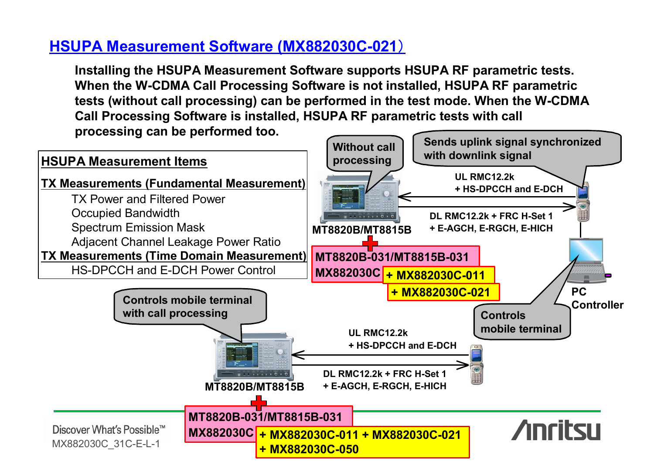### **HSUPA Measurement Software (MX882030C-021**)

**Installing the HSUPA Measurement Software supports HSUPA RF parametric tests. When the W-CDMA Call Processing Software is not installed, HSUPA RF parametric tests (without call processing) can be performed in the test mode. When the W-CDMA Call Processing Software is installed, HSUPA RF parametric tests with call processing can be performed too.** 

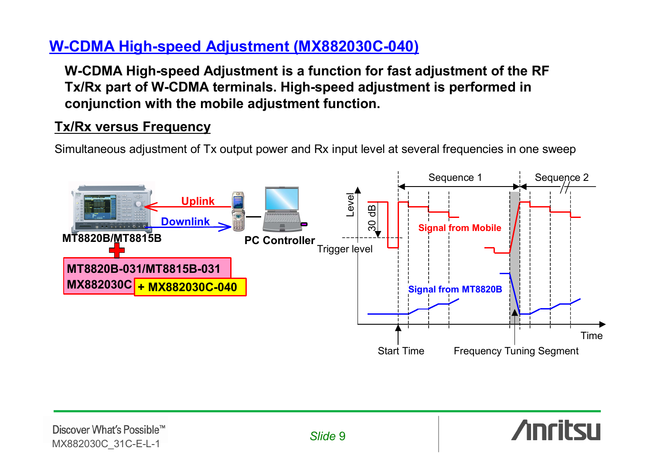# **W-CDMA High-speed Adjustment (MX882030C-040)**

**W-CDMA High-speed Adjustment is a function for fast adjustment of the RF Tx/Rx part of W-CDMA terminals. High-speed adjustment is performed in conjunction with the mobile adjustment function.** 

#### **Tx/Rx versus Frequency**

Simultaneous adjustment of Tx output power and Rx input level at several frequencies in one sweep

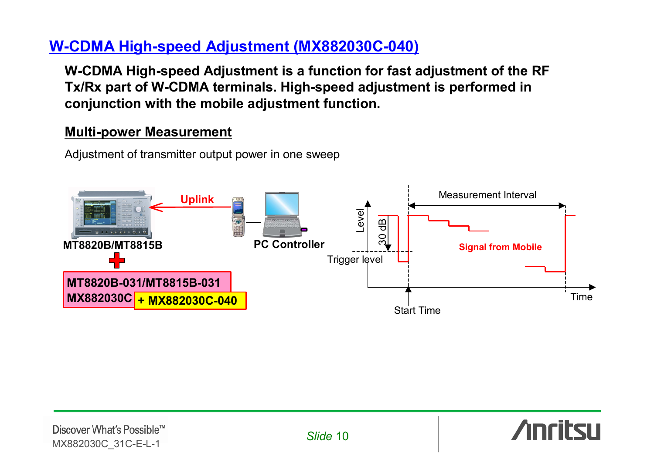# **W-CDMA High-speed Adjustment (MX882030C-040)**

**W-CDMA High-speed Adjustment is a function for fast adjustment of the RF Tx/Rx part of W-CDMA terminals. High-speed adjustment is performed in conjunction with the mobile adjustment function.** 

#### **Multi-power Measurement**

Adjustment of transmitter output power in one sweep

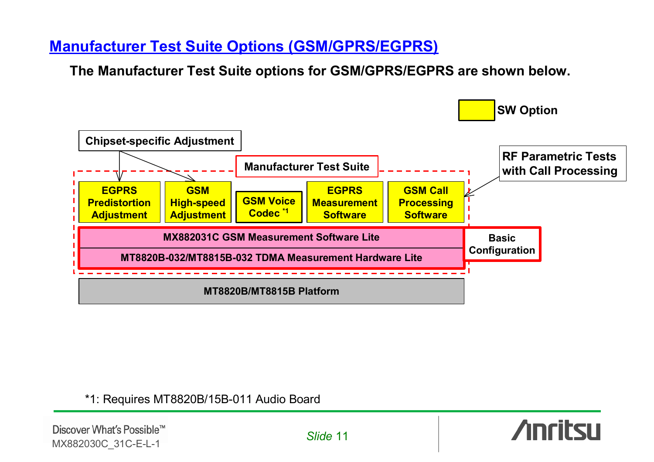# **Manufacturer Test Suite Options (GSM/GPRS/EGPRS)**

**The Manufacturer Test Suite options for GSM/GPRS/EGPRS are shown below.**



\*1: Requires MT8820B/15B-011 Audio Board

Discover What's Possible™ MX882030C\_31C-E-L-1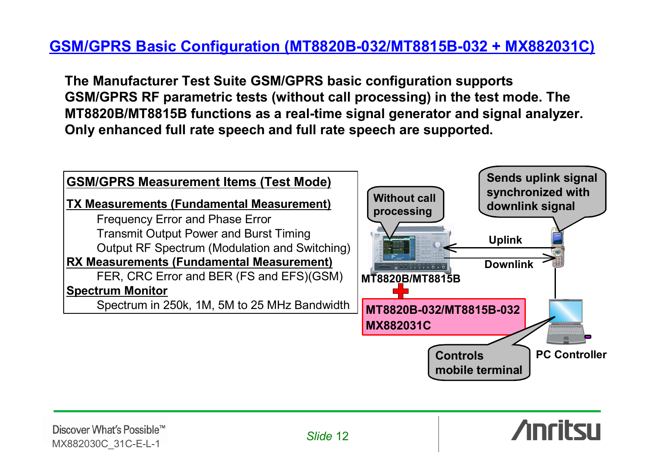# **GSM/GPRS Basic Configuration (MT8820B-032/MT8815B-032 + MX882031C)**

**The Manufacturer Test Suite GSM/GPRS basic configuration supports GSM/GPRS RF parametric tests (without call processing) in the test mode. The MT8820B/MT8815B functions as a real-time signal generator and signal analyzer. Only enhanced full rate speech and full rate speech are supported.** 

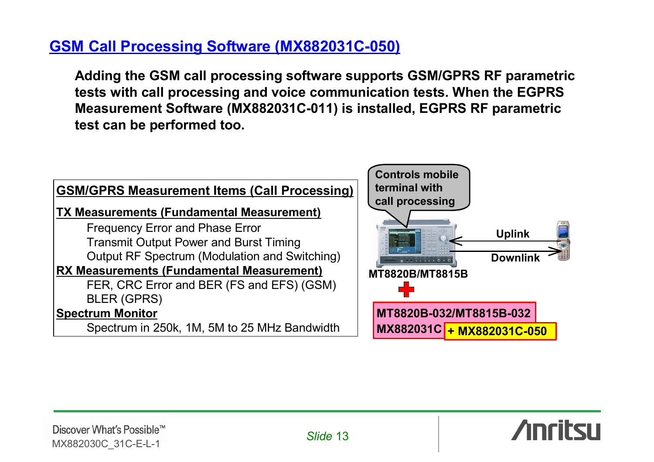## **GSM Call Processing Software (MX882031C-050)**

**Adding the GSM call processing software supports GSM/GPRS RF parametric tests with call processing and voice communication tests. When the EGPRS Measurement Software (MX882031C-011) is installed, EGPRS RF parametric test can be performed too.** 

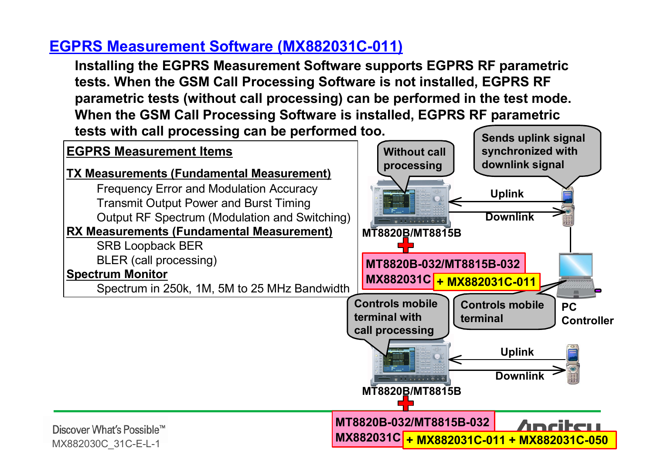### **EGPRS Measurement Software (MX882031C-011)**

**Installing the EGPRS Measurement Software supports EGPRS RF parametric tests. When the GSM Call Processing Software is not installed, EGPRS RF parametric tests (without call processing) can be performed in the test mode. When the GSM Call Processing Software is installed, EGPRS RF parametric tests with call processing can be performed too.** 

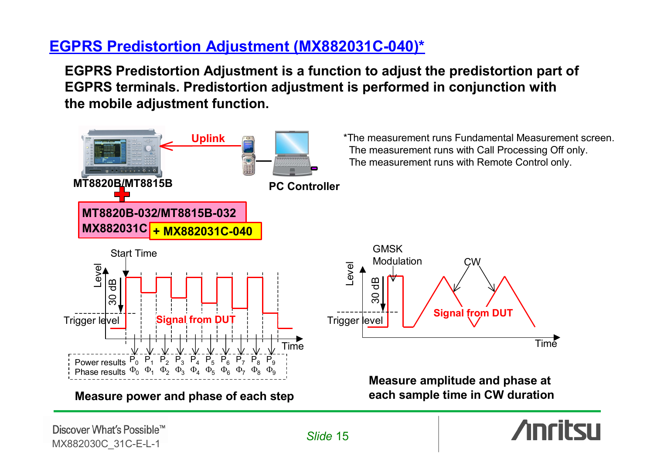## **EGPRS Predistortion Adjustment (MX882031C-040)\***

**EGPRS Predistortion Adjustment is a function to adjust the predistortion part of EGPRS terminals. Predistortion adjustment is performed in conjunction with the mobile adjustment function.** 

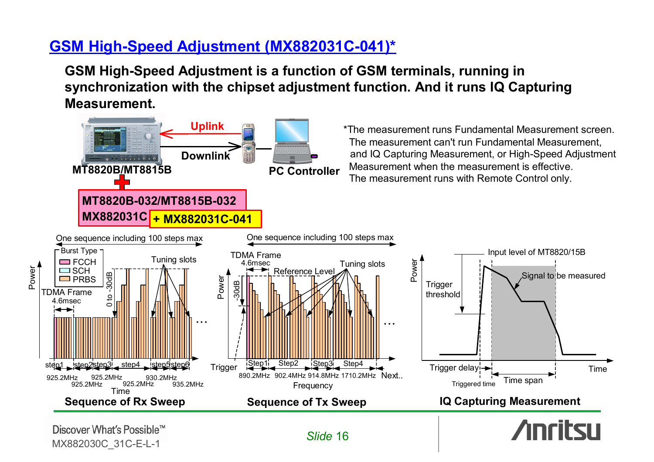## **GSM High-Speed Adjustment (MX882031C-041)\***

**GSM High-Speed Adjustment is a function of GSM terminals, running in synchronization with the chipset adjustment function. And it runs IQ Capturing Measurement.** 



Discover What's Possible™ MX882030C\_31C-E-L-1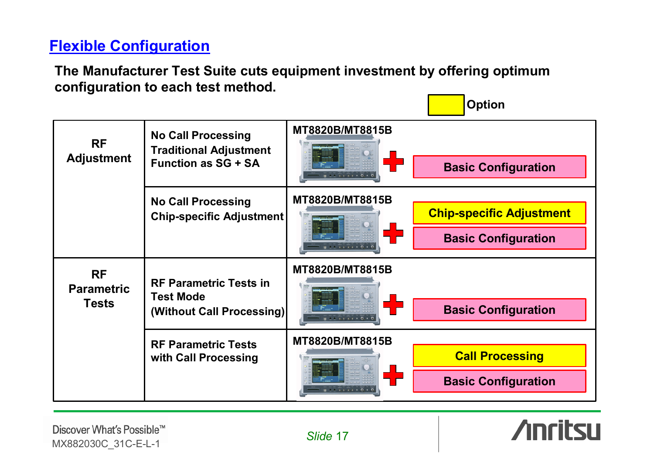# **Flexible Configuration**

**The Manufacturer Test Suite cuts equipment investment by offering optimum configuration to each test method.**

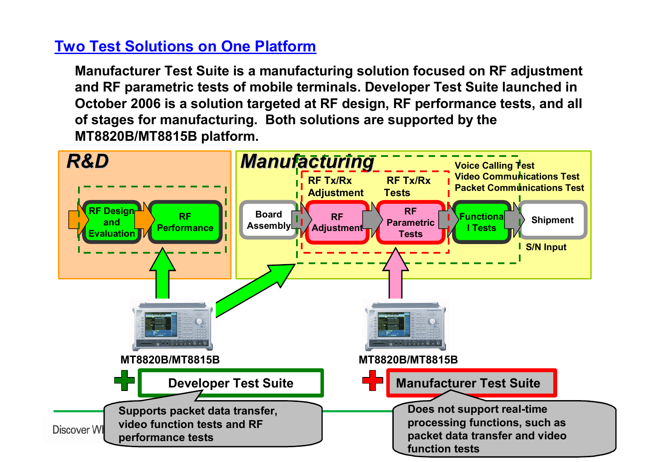### **Two Test Solutions on One Platform**

**Manufacturer Test Suite is a manufacturing solution focused on RF adjustment and RF parametric tests of mobile terminals. Developer Test Suite launched in October 2006 is a solution targeted at RF design, RF performance tests, and all of stages for manufacturing. Both solutions are supported by the MT8820B/MT8815B platform.**

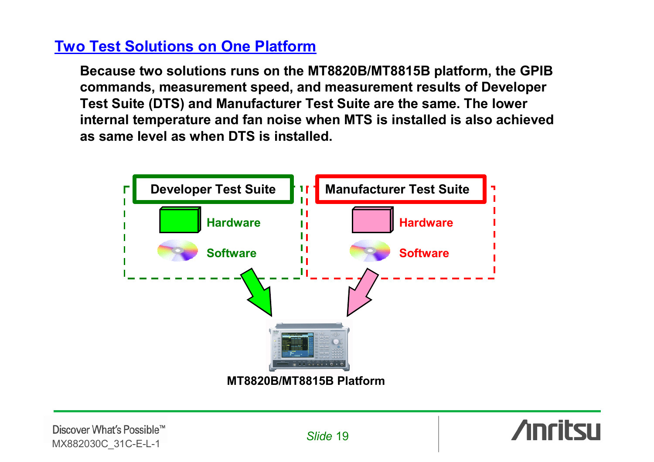### **Two Test Solutions on One Platform**

**Because two solutions runs on the MT8820B/MT8815B platform, the GPIB commands, measurement speed, and measurement results of Developer Test Suite (DTS) and Manufacturer Test Suite are the same. The lower internal temperature and fan noise when MTS is installed is also achieved as same level as when DTS is installed.**

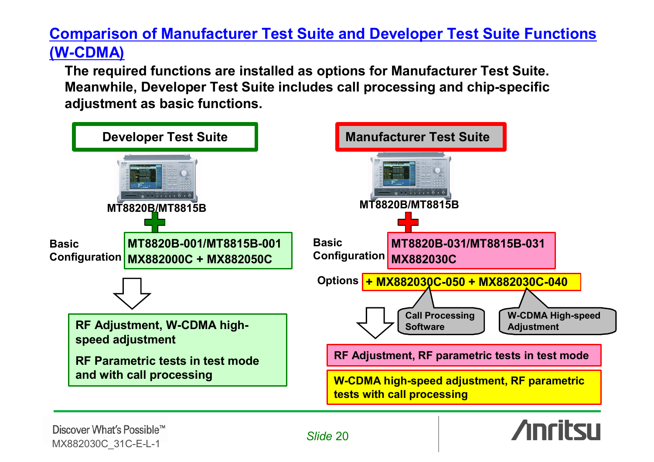# **Comparison of Manufacturer Test Suite and Developer Test Suite Functions (W-CDMA)**

**The required functions are installed as options for Manufacturer Test Suite. Meanwhile, Developer Test Suite includes call processing and chip-specific adjustment as basic functions.**

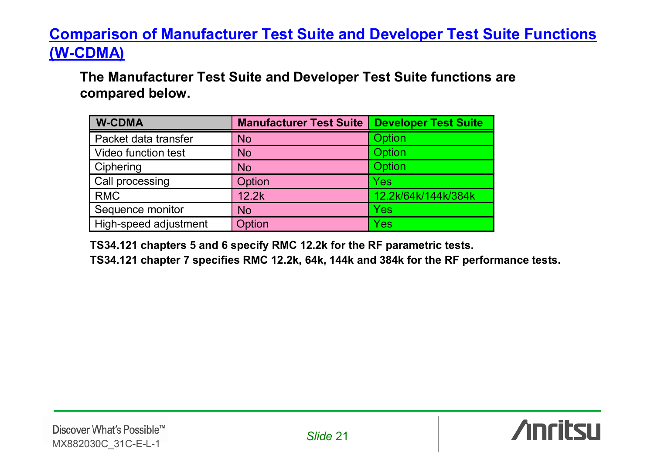# **Comparison of Manufacturer Test Suite and Developer Test Suite Functions (W-CDMA)**

**The Manufacturer Test Suite and Developer Test Suite functions are compared below.**

| <b>W-CDMA</b>         | <b>Manufacturer Test Suite</b> | <b>Developer Test Suite</b> |
|-----------------------|--------------------------------|-----------------------------|
| Packet data transfer  | <b>No</b>                      | Option                      |
| Video function test   | <b>No</b>                      | Option                      |
| Ciphering             | <b>No</b>                      | Option                      |
| Call processing       | Option                         | Yes                         |
| <b>RMC</b>            | 12.2k                          | 12.2k/64k/144k/384k         |
| Sequence monitor      | <b>No</b>                      | Yes                         |
| High-speed adjustment | Option                         | Yes                         |

**TS34.121 chapters 5 and 6 specify RMC 12.2k for the RF parametric tests.**

**TS34.121 chapter 7 specifies RMC 12.2k, 64k, 144k and 384k for the RF performance tests.**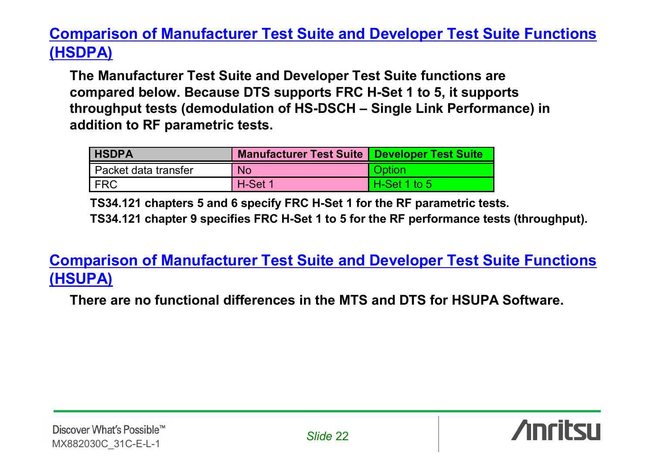# **Comparison of Manufacturer Test Suite and Developer Test Suite Functions (HSDPA)**

**The Manufacturer Test Suite and Developer Test Suite functions are compared below. Because DTS supports FRC H-Set 1 to 5, it supports throughput tests (demodulation of HS-DSCH – Single Link Performance) in addition to RF parametric tests.**

| <b>I HSDPA</b>       | Manufacturer Test Suite   Developer Test Suite |                |
|----------------------|------------------------------------------------|----------------|
| Packet data transfer | <b>No</b>                                      | <b>Option</b>  |
| <b>FRC</b>           | H-Set 1                                        | l H-Set 1 to 5 |

**TS34.121 chapters 5 and 6 specify FRC H-Set 1 for the RF parametric tests.**

**TS34.121 chapter 9 specifies FRC H-Set 1 to 5 for the RF performance tests (throughput).**

#### **Comparison of Manufacturer Test Suite and Developer Test Suite Functions (HSUPA)**

**There are no functional differences in the MTS and DTS for HSUPA Software.**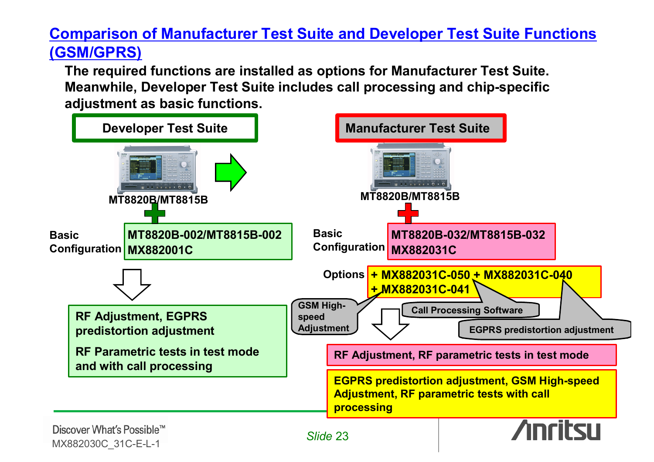# **Comparison of Manufacturer Test Suite and Developer Test Suite Functions (GSM/GPRS)**

**The required functions are installed as options for Manufacturer Test Suite. Meanwhile, Developer Test Suite includes call processing and chip-specific adjustment as basic functions.**

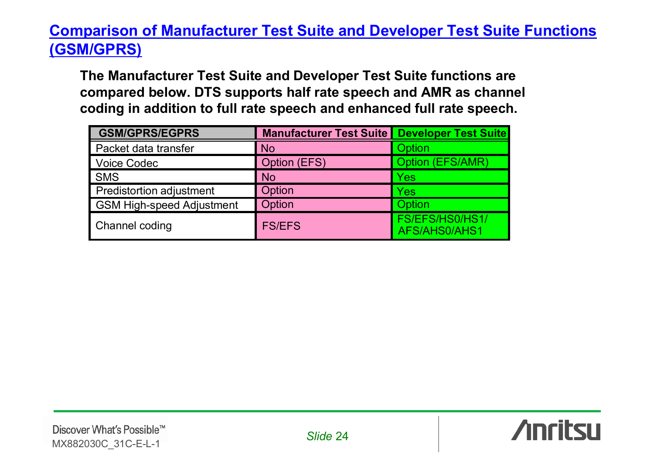# **Comparison of Manufacturer Test Suite and Developer Test Suite Functions (GSM/GPRS)**

**The Manufacturer Test Suite and Developer Test Suite functions are compared below. DTS supports half rate speech and AMR as channel coding in addition to full rate speech and enhanced full rate speech.** 

| <b>GSM/GPRS/EGPRS</b>            | Manufacturer Test Suite   Developer Test Suite |                                         |
|----------------------------------|------------------------------------------------|-----------------------------------------|
| Packet data transfer             | <b>No</b>                                      | Option                                  |
| <b>Voice Codec</b>               | <b>Option (EFS)</b>                            | Option (EFS/AMR)                        |
| <b>SMS</b>                       | <b>No</b>                                      | <b>Yes</b>                              |
| Predistortion adjustment         | Option                                         | Yes                                     |
| <b>GSM High-speed Adjustment</b> | Option                                         | Option                                  |
| Channel coding                   | <b>FS/EFS</b>                                  | <b>FS/EFS/HS0/HS1/</b><br>AFS/AHS0/AHS1 |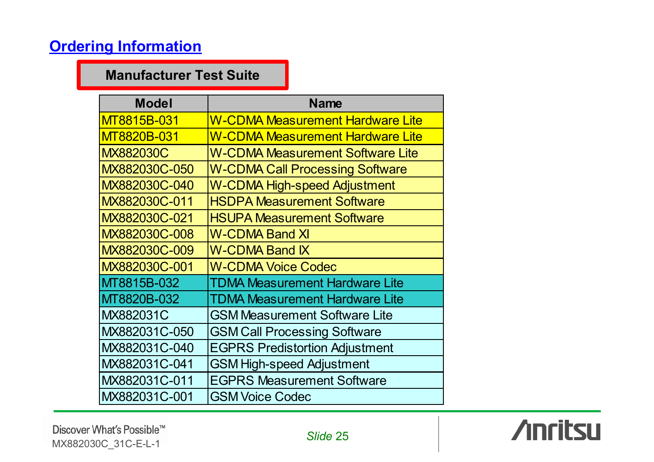# **Ordering Information**

#### **Manufacturer Test Suite**

| <b>Model</b>     | <b>Name</b>                             |
|------------------|-----------------------------------------|
| MT8815B-031      | <b>W-CDMA Measurement Hardware Lite</b> |
| MT8820B-031      | <b>W-CDMA Measurement Hardware Lite</b> |
| <b>MX882030C</b> | <b>W-CDMA Measurement Software Lite</b> |
| MX882030C-050    | <b>W-CDMA Call Processing Software</b>  |
| MX882030C-040    | <b>W-CDMA High-speed Adjustment</b>     |
| MX882030C-011    | <b>HSDPA Measurement Software</b>       |
| MX882030C-021    | <b>HSUPA Measurement Software</b>       |
| MX882030C-008    | <b>W-CDMA Band XI</b>                   |
| MX882030C-009    | <b>W-CDMA Band IX</b>                   |
| MX882030C-001    | <b>W-CDMA Voice Codec</b>               |
| MT8815B-032      | <b>TDMA Measurement Hardware Lite</b>   |
| MT8820B-032      | <b>TDMA Measurement Hardware Lite</b>   |
| MX882031C        | <b>GSM Measurement Software Lite</b>    |
| MX882031C-050    | <b>GSM Call Processing Software</b>     |
| MX882031C-040    | <b>EGPRS Predistortion Adjustment</b>   |
| MX882031C-041    | <b>GSM High-speed Adjustment</b>        |
| MX882031C-011    | <b>EGPRS Measurement Software</b>       |
| MX882031C-001    | <b>GSM Voice Codec</b>                  |

**/inritsu**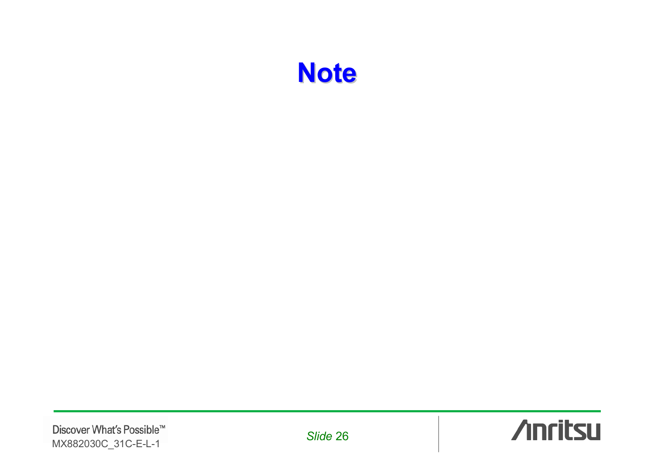# **Note**

**/inritsu**